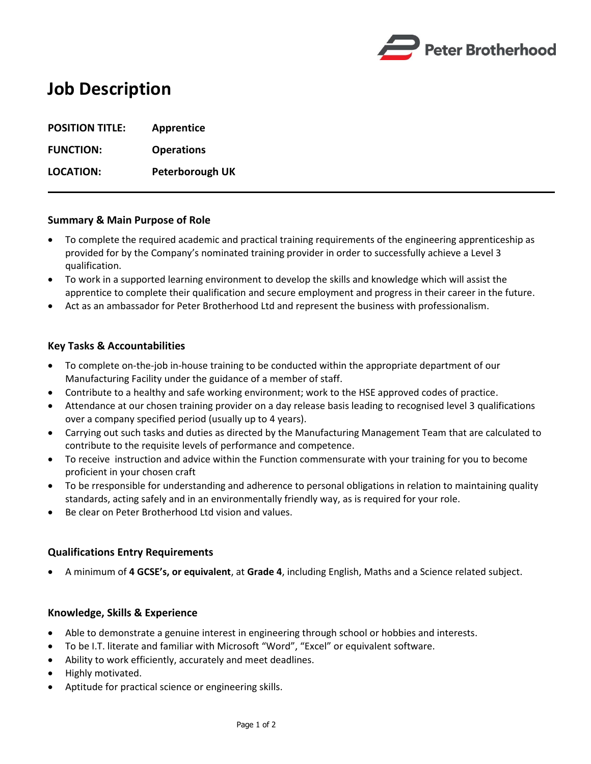

# **Job Description**

**POSITION TITLE: Apprentice FUNCTION: Operations LOCATION: Peterborough UK**

### **Summary & Main Purpose of Role**

- To complete the required academic and practical training requirements of the engineering apprenticeship as provided for by the Company's nominated training provider in order to successfully achieve a Level 3 qualification.
- To work in a supported learning environment to develop the skills and knowledge which will assist the apprentice to complete their qualification and secure employment and progress in their career in the future.
- Act as an ambassador for Peter Brotherhood Ltd and represent the business with professionalism.

# **Key Tasks & Accountabilities**

- To complete on-the-job in-house training to be conducted within the appropriate department of our Manufacturing Facility under the guidance of a member of staff.
- Contribute to a healthy and safe working environment; work to the HSE approved codes of practice.
- Attendance at our chosen training provider on a day release basis leading to recognised level 3 qualifications over a company specified period (usually up to 4 years).
- Carrying out such tasks and duties as directed by the Manufacturing Management Team that are calculated to contribute to the requisite levels of performance and competence.
- To receive instruction and advice within the Function commensurate with your training for you to become proficient in your chosen craft
- To be rresponsible for understanding and adherence to personal obligations in relation to maintaining quality standards, acting safely and in an environmentally friendly way, as is required for your role.
- Be clear on Peter Brotherhood Ltd vision and values.

# **Qualifications Entry Requirements**

A minimum of **4 GCSE's, or equivalent**, at **Grade 4**, including English, Maths and a Science related subject.

### **Knowledge, Skills & Experience**

- Able to demonstrate a genuine interest in engineering through school or hobbies and interests.
- To be I.T. literate and familiar with Microsoft "Word", "Excel" or equivalent software.
- Ability to work efficiently, accurately and meet deadlines.
- Highly motivated.
- Aptitude for practical science or engineering skills.